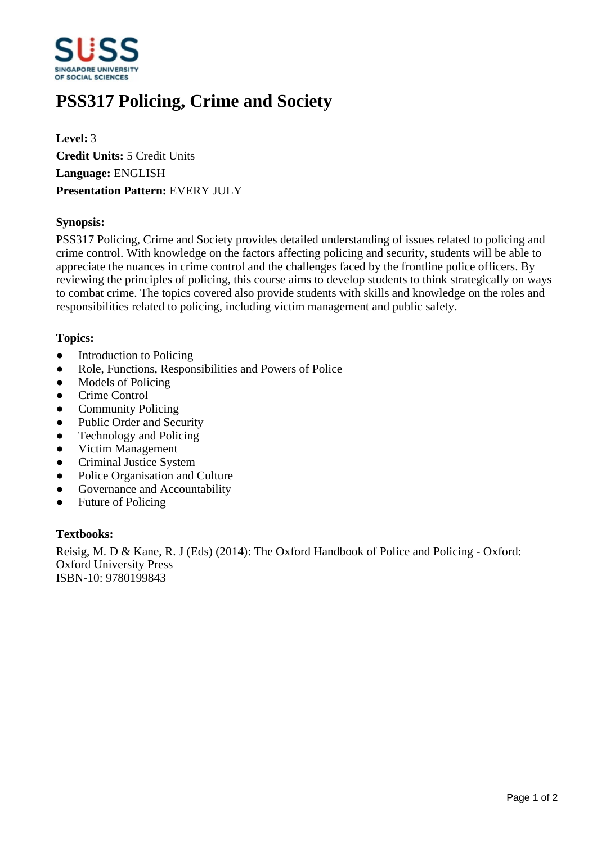

# **PSS317 Policing, Crime and Society**

**Level:** 3 **Credit Units:** 5 Credit Units **Language:** ENGLISH **Presentation Pattern:** EVERY JULY

# **Synopsis:**

PSS317 Policing, Crime and Society provides detailed understanding of issues related to policing and crime control. With knowledge on the factors affecting policing and security, students will be able to appreciate the nuances in crime control and the challenges faced by the frontline police officers. By reviewing the principles of policing, this course aims to develop students to think strategically on ways to combat crime. The topics covered also provide students with skills and knowledge on the roles and responsibilities related to policing, including victim management and public safety.

# **Topics:**

- Introduction to Policing
- Role, Functions, Responsibilities and Powers of Police
- Models of Policing
- Crime Control
- Community Policing
- Public Order and Security
- Technology and Policing
- Victim Management
- Criminal Justice System
- Police Organisation and Culture
- Governance and Accountability
- Future of Policing

#### **Textbooks:**

Reisig, M. D & Kane, R. J (Eds) (2014): The Oxford Handbook of Police and Policing - Oxford: Oxford University Press ISBN-10: 9780199843